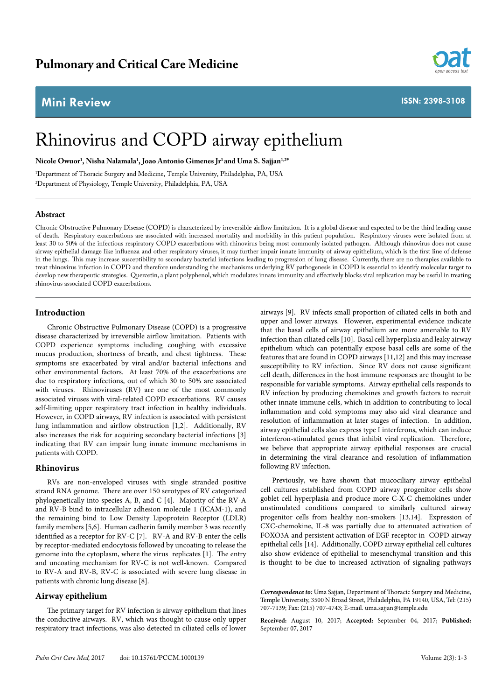## **Mini Review**



**ISSN: 2398-3108**

# Rhinovirus and COPD airway epithelium

**Nicole Owuor1 , Nisha Nalamala1 , Joao Antonio Gimenes Jr1 and Uma S. Sajjan1,2\***

1 Department of Thoracic Surgery and Medicine, Temple University, Philadelphia, PA, USA 2 Department of Physiology, Temple University, Philadelphia, PA, USA

#### **Abstract**

Chronic Obstructive Pulmonary Disease (COPD) is characterized by irreversible airflow limitation. It is a global disease and expected to be the third leading cause of death. Respiratory exacerbations are associated with increased mortality and morbidity in this patient population. Respiratory viruses were isolated from at least 30 to 50% of the infectious respiratory COPD exacerbations with rhinovirus being most commonly isolated pathogen. Although rhinovirus does not cause airway epithelial damage like influenza and other respiratory viruses, it may further impair innate immunity of airway epithelium, which is the first line of defense in the lungs. This may increase susceptibility to secondary bacterial infections leading to progression of lung disease. Currently, there are no therapies available to treat rhinovirus infection in COPD and therefore understanding the mechanisms underlying RV pathogenesis in COPD is essential to identify molecular target to develop new therapeutic strategies. Quercetin, a plant polyphenol, which modulates innate immunity and effectively blocks viral replication may be useful in treating rhinovirus associated COPD exacerbations.

### **Introduction**

Chronic Obstructive Pulmonary Disease (COPD) is a progressive disease characterized by irreversible airflow limitation. Patients with COPD experience symptoms including coughing with excessive mucus production, shortness of breath, and chest tightness. These symptoms sre exacerbated by viral and/or bacterial infections and other environmental factors. At least 70% of the exacerbations are due to respiratory infections, out of which 30 to 50% are associated with viruses. Rhinoviruses (RV) are one of the most commonly associated viruses with viral-related COPD exacerbations. RV causes self-limiting upper respiratory tract infection in healthy individuals. However, in COPD airways, RV infection is associated with persistent lung inflammation and airflow obstruction [1,2]. Additionally, RV also increases the risk for acquiring secondary bacterial infections [3] indicating that RV can impair lung innate immune mechanisms in patients with COPD.

#### **Rhinovirus**

RVs are non-enveloped viruses with single stranded positive strand RNA genome. There are over 150 serotypes of RV categorized phylogenetically into species A, B, and C [4]. Majority of the RV-A and RV-B bind to intracellular adhesion molecule 1 (ICAM-1), and the remaining bind to Low Density Lipoprotein Receptor (LDLR) family members [5,6]. Human cadherin family member 3 was recently identified as a receptor for RV-C [7]. RV-A and RV-B enter the cells by receptor-mediated endocytosis followed by uncoating to release the genome into the cytoplasm, where the virus replicates [1]. The entry and uncoating mechanism for RV-C is not well-known. Compared to RV-A and RV-B, RV-C is associated with severe lung disease in patients with chronic lung disease [8].

#### **Airway epithelium**

The primary target for RV infection is airway epithelium that lines the conductive airways. RV, which was thought to cause only upper respiratory tract infections, was also detected in ciliated cells of lower

airways [9]. RV infects small proportion of ciliated cells in both and upper and lower airways. However, experimental evidence indicate that the basal cells of airway epithelium are more amenable to RV infection than ciliated cells [10]. Basal cell hyperplasia and leaky airway epithelium which can potentially expose basal cells are some of the features that are found in COPD airways [11,12] and this may increase susceptibility to RV infection. Since RV does not cause significant cell death, differences in the host immune responses are thought to be responsible for variable symptoms. Airway epithelial cells responds to RV infection by producing chemokines and growth factors to recruit other innate immune cells, which in addition to contributing to local inflammation and cold symptoms may also aid viral clearance and resolution of inflammation at later stages of infection. In addition, airway epithelial cells also express type I interferons, which can induce interferon-stimulated genes that inhibit viral replication. Therefore, we believe that appropriate airway epithelial responses are crucial in determining the viral clearance and resolution of inflammation following RV infection.

Previously, we have shown that mucociliary airway epithelial cell cultures established from COPD airway progenitor cells show goblet cell hyperplasia and produce more C-X-C chemokines under unstimulated conditions compared to similarly cultured airway progenitor cells from healthy non-smokers [13,14]. Expression of CXC-chemokine, IL-8 was partially due to attenuated activation of FOXO3A and persistent activation of EGF receptor in COPD airway epithelial cells [14]. Additionally, COPD airway epithelial cell cultures also show evidence of epithelial to mesenchymal transition and this is thought to be due to increased activation of signaling pathways

*Correspondence to:* Uma Sajjan, Department of Thoracic Surgery and Medicine, Temple University, 3500 N Broad Street, Philadelphia, PA 19140, USA, Tel: (215) 707-7139; Fax: (215) 707-4743; E-mail. uma.sajjan@temple.edu

**Received:** August 10, 2017; **Accepted:** September 04, 2017; **Published:**  September 07, 2017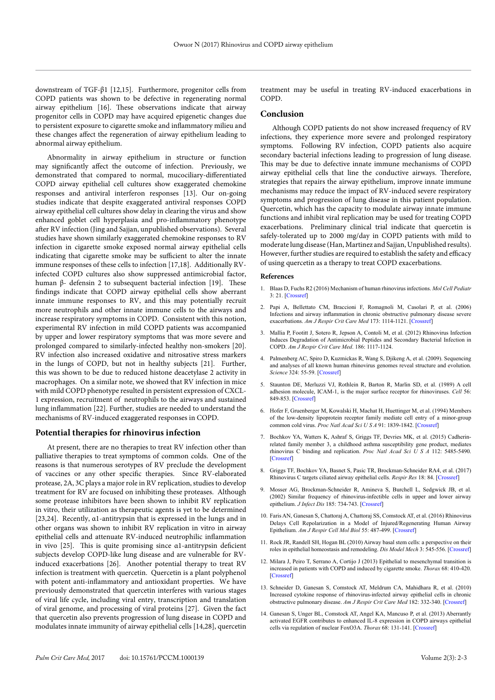downstream of TGF-β1 [12,15]. Furthermore, progenitor cells from COPD patients was shown to be defective in regenerating normal airway epithelium [16]. These observations indicate that airway progenitor cells in COPD may have acquired epigenetic changes due to persistent exposure to cigarette smoke and inflammatory milieu and these changes affect the regeneration of airway epithelium leading to abnormal airway epithelium.

Abnormality in airway epithelium in structure or function may significantly affect the outcome of infection. Previously, we demonstrated that compared to normal, mucociliary-differentiated COPD airway epithelial cell cultures show exaggerated chemokine responses and antiviral interferon responses [13]. Our on-going studies indicate that despite exaggerated antiviral responses COPD airway epithelial cell cultures show delay in clearing the virus and show enhanced goblet cell hyperplasia and pro-inflammatory phenotype after RV infection (Jing and Sajjan, unpublished observations). Several studies have shown similarly exaggerated chemokine responses to RV infection in cigarette smoke exposed normal airway epithelial cells indicating that cigarette smoke may be sufficient to alter the innate immune responses of these cells to infection [17,18]. Additionally RVinfected COPD cultures also show suppressed antimicrobial factor, human β- defensin 2 to subsequent bacterial infection [19]. These findings indicate that COPD airway epithelial cells show aberrant innate immune responses to RV, and this may potentially recruit more neutrophils and other innate immune cells to the airways and increase respiratory symptoms in COPD. Consistent with this notion, experimental RV infection in mild COPD patients was accompanied by upper and lower respiratory symptoms that was more severe and prolonged compared to similarly-infected healthy non-smokers [20]. RV infection also increased oxidative and nitrosative stress markers in the lungs of COPD, but not in healthy subjects [21]. Further, this was shown to be due to reduced histone deacetylase 2 activity in macrophages. On a similar note, we showed that RV infection in mice with mild COPD phenotype resulted in persistent expression of CXCL-1 expression, recruitment of neutrophils to the airways and sustained lung inflammation [22]. Further, studies are needed to understand the mechanisms of RV-induced exaggerated responses in COPD.

### **Potential therapies for rhinovirus infection**

At present, there are no therapies to treat RV infection other than palliative therapies to treat symptoms of common colds. One of the reasons is that numerous serotypes of RV preclude the development of vaccines or any other specific therapies. Since RV-elaborated protease, 2A, 3C plays a major role in RV replication, studies to develop treatment for RV are focused on inhibiting these proteases. Although some protease inhibitors have been shown to inhibit RV replication in vitro, their utilization as therapeutic agents is yet to be determined [23,24]. Recently, [α](http://www.ncbi.nlm.nih.gov/pubmed/27354786)1-antitrypsin that is expressed in the lungs and in other organs was shown to inhibit RV replication in vitro in airway epithelial cells and attenuate RV-induced neutrophilic inflammation in vivo [25]. This is quite promising since [α](http://www.ncbi.nlm.nih.gov/pubmed/27354786)1-antitrypsin deficient subjects develop COPD-like lung disease and are vulnerable for RVinduced exacerbations [26]. Another potential therapy to treat RV infection is treatment with quercetin. Quercetin is a plant polyphenol with potent anti-inflammatory and antioxidant properties. We have previously demonstrated that quercetin interferes with various stages of viral life cycle, including viral entry, transcription and translation of viral genome, and processing of viral proteins [27]. Given the fact that quercetin also prevents progression of lung disease in COPD and modulates innate immunity of airway epithelial cells [14,28], quercetin

treatment may be useful in treating RV-induced exacerbations in COPD.

#### **Conclusion**

Although COPD patients do not show increased frequency of RV infections, they experience more severe and prolonged respiratory symptoms. Following RV infection, COPD patients also acquire secondary bacterial infections leading to progression of lung disease. This may be due to defective innate immune mechanisms of COPD airway epithelial cells that line the conductive airways. Therefore, strategies that repairs the airway epithelium, improve innate immune mechanisms may reduce the impact of RV-induced severe respiratory symptoms and progression of lung disease in this patient population. Quercetin, which has the capacity to modulate airway innate immune functions and inhibit viral replication may be used for treating COPD exacerbations. Preliminary clinical trial indicate that quercetin is safely-tolerated up to 2000 mg/day in COPD patients with mild to moderate lung disease (Han, Martinez and Sajjan, Unpublished results). However, further studies are required to establish the safety and efficacy of using quercetin as a therapy to treat COPD exacerbations.

#### **References**

- 1. Blaas D, Fuchs R2 (2016) Mechanism of human rhinovirus infections. *Mol Cell Pediatr*  3: 21. [\[Crossref\]](http://www.ncbi.nlm.nih.gov/pubmed/27251607)
- 2. Papi A, Bellettato CM, Braccioni F, Romagnoli M, Casolari P, et al. (2006) Infections and airway inflammation in chronic obstructive pulmonary disease severe exacerbations. *Am J Respir Crit Care Med* 173: 1114-1121. [[Crossref\]](https://www.ncbi.nlm.nih.gov/pubmed/16484677)
- 3. Mallia P, Footitt J, Sotero R, Jepson A, Contoli M, et al. (2012) Rhinovirus Infection Induces Degradation of Antimicrobial Peptides and Secondary Bacterial Infection in COPD. *Am J Respir Crit Care Med*. 186: 1117-1124.
- 4. Palmenberg AC, Spiro D, Kuzmickas R, Wang S, Djikeng A, et al. (2009). Sequencing and analyses of all known human rhinovirus genomes reveal structure and evolution. *Science* 324: 55-59. [[Crossref\]](https://www.ncbi.nlm.nih.gov/pubmed/19213880)
- 5. Staunton DE, Merluzzi VJ, Rothlein R, Barton R, Marlin SD, et al. (1989) A cell adhesion molecule, ICAM-1, is the major surface receptor for rhinoviruses. *Cell* 56: 849-853. [\[Crossref\]](http://www.ncbi.nlm.nih.gov/pubmed/2538244)
- 6. Hofer F, Gruenberger M, Kowalski H, Machat H, Huettinger M, et al. (1994) Members of the low-density lipoprotein receptor family mediate cell entry of a minor-group common cold virus. *Proc Natl Acad Sci U S A* 91: 1839-1842. [\[Crossref\]](http://www.ncbi.nlm.nih.gov/pubmed/8127891)
- 7. Bochkov YA, Watters K, Ashraf S, Griggs TF, Devries MK, et al. (2015) Cadherinrelated family member 3, a childhood asthma susceptibility gene product, mediates rhinovirus C binding and replication. *Proc Natl Acad Sci U S A* 112: 5485-5490. [[Crossref\]](https://www.ncbi.nlm.nih.gov/pubmed/25848009)
- 8. Griggs TF, Bochkov YA, Basnet S, Pasic TR, Brockman-Schneider RA4, et al. (2017) Rhinovirus C targets ciliated airway epithelial cells. *Respir Res* 18: 84. [\[Crossref\]](http://www.ncbi.nlm.nih.gov/pubmed/28472984)
- 9. Mosser AG, Brockman-Schneider R, Amineva S, Burchell L, Sedgwick JB, et al. (2002) Similar frequency of rhinovirus-infectible cells in upper and lower airway epithelium. *J Infect Dis* 185: 734-743. [\[Crossref\]](http://www.ncbi.nlm.nih.gov/pubmed/11920291)
- 10. Faris AN, Ganesan S, Chattoraj A, Chattoraj SS, Comstock AT, et al. (2016) Rhinovirus Delays Cell Repolarization in a Model of Injured/Regenerating Human Airway Epithelium. *Am J Respir Cell Mol Biol* 55: 487-499. [\[Crossref\]](http://www.ncbi.nlm.nih.gov/pubmed/27119973)
- 11. Rock JR, Randell SH, Hogan BL (2010) Airway basal stem cells: a perspective on their roles in epithelial homeostasis and remodeling. *Dis Model Mech* 3: 545-556. [\[Crossref\]](http://www.ncbi.nlm.nih.gov/pubmed/20699479)
- 12. Milara J, Peiro T, Serrano A, Cortijo J (2013) Epithelial to mesenchymal transition is increased in patients with COPD and induced by cigarette smoke. *Thorax* 68: 410-420. [[Crossref\]](https://www.ncbi.nlm.nih.gov/pubmed/23299965)
- 13. Schneider D, Ganesan S, Comstock AT, Meldrum CA, Mahidhara R, et al. (2010) Increased cytokine response of rhinovirus-infected airway epithelial cells in chronic obstructive pulmonary disease. *Am J Respir Crit Care Med* 182: 332-340. [\[Crossref\]](https://www.ncbi.nlm.nih.gov/pubmed/20395558)
- 14. Ganesan S, Unger BL, Comstock AT, Angel KA, Mancuso P, et al. (2013) Aberrantly activated EGFR contributes to enhanced IL-8 expression in COPD airways epithelial cells via regulation of nuclear FoxO3A. *Thorax* 68: 131-141. [\[Crossref\]](http://www.ncbi.nlm.nih.gov/pubmed/23099361)